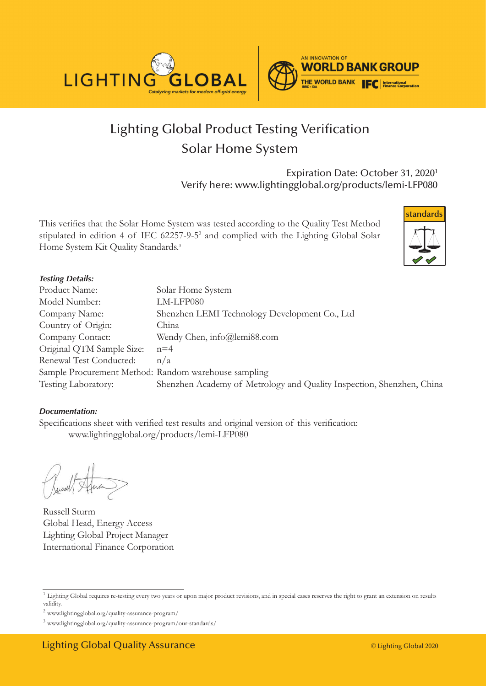



# Lighting Global Product Testing Verification Solar Home System

Expiration Date: October 31, 2020<sup>1</sup> Verify here: www.lightingglobal.org/products/lemi-LFP080

This verifies that the Solar Home System was tested according to the Quality Test Method stipulated in edition 4 of IEC 62257-9-52 and complied with the Lighting Global Solar Home System Kit Quality Standards.<sup>3</sup>



#### *Testing Details:*

| Product Name:                                        | Solar Home System                                                     |
|------------------------------------------------------|-----------------------------------------------------------------------|
| Model Number:                                        | LM-LFP080                                                             |
| Company Name:                                        | Shenzhen LEMI Technology Development Co., Ltd                         |
| Country of Origin:                                   | China                                                                 |
| Company Contact:                                     | Wendy Chen, info@lemi88.com                                           |
| Original QTM Sample Size:                            | $n=4$                                                                 |
| Renewal Test Conducted:                              | n/a                                                                   |
| Sample Procurement Method: Random warehouse sampling |                                                                       |
| Testing Laboratory:                                  | Shenzhen Academy of Metrology and Quality Inspection, Shenzhen, China |

#### *Documentation:*

Specifications sheet with verified test results and original version of this verification: www.lightingglobal.org/products/lemi-LFP080

Russell Sturm Global Head, Energy Access Lighting Global Project Manager International Finance Corporation

<sup>&</sup>lt;sup>1</sup> Lighting Global requires re-testing every two years or upon major product revisions, and in special cases reserves the right to grant an extension on results validity.

 $^2$ www.lightingglobal.org/quality-assurance-program/  $\,$ 

<sup>3</sup> www.lightingglobal.org/quality-assurance-program/our-standards/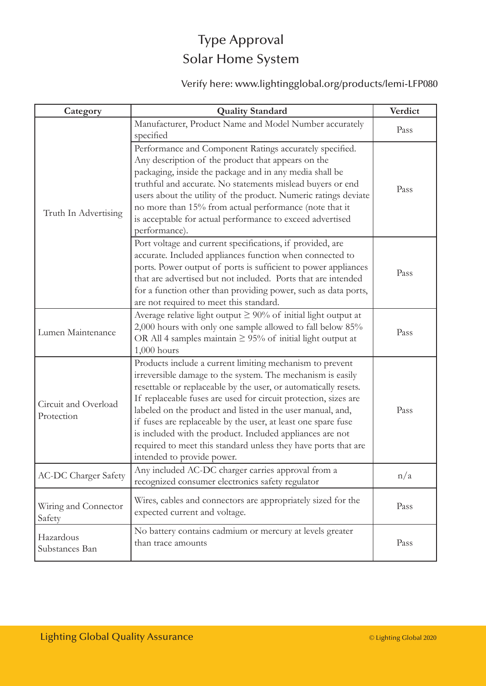## Type Approval Solar Home System

## Verify here: www.lightingglobal.org/products/lemi-LFP080

| Category                           | <b>Quality Standard</b>                                                                                                                                                                                                                                                                                                                                                                                                                                                                                                                                  | Verdict |
|------------------------------------|----------------------------------------------------------------------------------------------------------------------------------------------------------------------------------------------------------------------------------------------------------------------------------------------------------------------------------------------------------------------------------------------------------------------------------------------------------------------------------------------------------------------------------------------------------|---------|
| Truth In Advertising               | Manufacturer, Product Name and Model Number accurately<br>specified                                                                                                                                                                                                                                                                                                                                                                                                                                                                                      | Pass    |
|                                    | Performance and Component Ratings accurately specified.<br>Any description of the product that appears on the<br>packaging, inside the package and in any media shall be<br>truthful and accurate. No statements mislead buyers or end<br>users about the utility of the product. Numeric ratings deviate<br>no more than 15% from actual performance (note that it<br>is acceptable for actual performance to exceed advertised<br>performance).                                                                                                        | Pass    |
|                                    | Port voltage and current specifications, if provided, are<br>accurate. Included appliances function when connected to<br>ports. Power output of ports is sufficient to power appliances<br>that are advertised but not included. Ports that are intended<br>for a function other than providing power, such as data ports,<br>are not required to meet this standard.                                                                                                                                                                                    | Pass    |
| Lumen Maintenance                  | Average relative light output $\geq 90\%$ of initial light output at<br>2,000 hours with only one sample allowed to fall below 85%<br>OR All 4 samples maintain $\geq$ 95% of initial light output at<br>$1,000$ hours                                                                                                                                                                                                                                                                                                                                   | Pass    |
| Circuit and Overload<br>Protection | Products include a current limiting mechanism to prevent<br>irreversible damage to the system. The mechanism is easily<br>resettable or replaceable by the user, or automatically resets.<br>If replaceable fuses are used for circuit protection, sizes are<br>labeled on the product and listed in the user manual, and,<br>if fuses are replaceable by the user, at least one spare fuse<br>is included with the product. Included appliances are not<br>required to meet this standard unless they have ports that are<br>intended to provide power. | Pass    |
| <b>AC-DC Charger Safety</b>        | Any included AC-DC charger carries approval from a<br>recognized consumer electronics safety regulator                                                                                                                                                                                                                                                                                                                                                                                                                                                   | n/a     |
| Wiring and Connector<br>Safety     | Wires, cables and connectors are appropriately sized for the<br>expected current and voltage.                                                                                                                                                                                                                                                                                                                                                                                                                                                            | Pass    |
| Hazardous<br>Substances Ban        | No battery contains cadmium or mercury at levels greater<br>than trace amounts                                                                                                                                                                                                                                                                                                                                                                                                                                                                           | Pass    |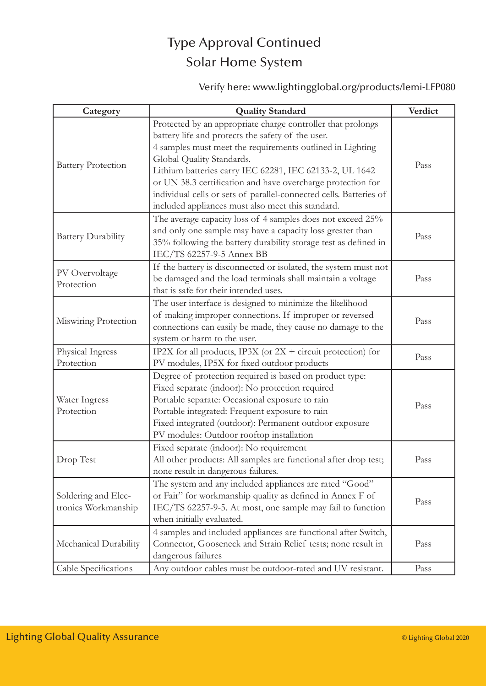# Type Approval Continued Solar Home System

### Verify here: www.lightingglobal.org/products/lemi-LFP080

| Category                                   | <b>Quality Standard</b>                                                                                                                                                                                                                                                                                                                                                                                                                                         | Verdict |
|--------------------------------------------|-----------------------------------------------------------------------------------------------------------------------------------------------------------------------------------------------------------------------------------------------------------------------------------------------------------------------------------------------------------------------------------------------------------------------------------------------------------------|---------|
| <b>Battery Protection</b>                  | Protected by an appropriate charge controller that prolongs<br>battery life and protects the safety of the user.<br>4 samples must meet the requirements outlined in Lighting<br>Global Quality Standards.<br>Lithium batteries carry IEC 62281, IEC 62133-2, UL 1642<br>or UN 38.3 certification and have overcharge protection for<br>individual cells or sets of parallel-connected cells. Batteries of<br>included appliances must also meet this standard. | Pass    |
| <b>Battery Durability</b>                  | The average capacity loss of 4 samples does not exceed 25%<br>and only one sample may have a capacity loss greater than<br>35% following the battery durability storage test as defined in<br>IEC/TS 62257-9-5 Annex BB                                                                                                                                                                                                                                         | Pass    |
| PV Overvoltage<br>Protection               | If the battery is disconnected or isolated, the system must not<br>be damaged and the load terminals shall maintain a voltage<br>that is safe for their intended uses.                                                                                                                                                                                                                                                                                          | Pass    |
| Miswiring Protection                       | The user interface is designed to minimize the likelihood<br>of making improper connections. If improper or reversed<br>connections can easily be made, they cause no damage to the<br>system or harm to the user.                                                                                                                                                                                                                                              | Pass    |
| Physical Ingress<br>Protection             | IP2X for all products, IP3X (or $2X +$ circuit protection) for<br>PV modules, IP5X for fixed outdoor products                                                                                                                                                                                                                                                                                                                                                   | Pass    |
| Water Ingress<br>Protection                | Degree of protection required is based on product type:<br>Fixed separate (indoor): No protection required<br>Portable separate: Occasional exposure to rain<br>Portable integrated: Frequent exposure to rain<br>Fixed integrated (outdoor): Permanent outdoor exposure<br>PV modules: Outdoor rooftop installation                                                                                                                                            | Pass    |
| Drop Test                                  | Fixed separate (indoor): No requirement<br>All other products: All samples are functional after drop test;<br>none result in dangerous failures.                                                                                                                                                                                                                                                                                                                | Pass    |
| Soldering and Elec-<br>tronics Workmanship | The system and any included appliances are rated "Good"<br>or Fair" for workmanship quality as defined in Annex F of<br>IEC/TS 62257-9-5. At most, one sample may fail to function<br>when initially evaluated.                                                                                                                                                                                                                                                 | Pass    |
| Mechanical Durability                      | 4 samples and included appliances are functional after Switch,<br>Connector, Gooseneck and Strain Relief tests; none result in<br>dangerous failures                                                                                                                                                                                                                                                                                                            | Pass    |
| Cable Specifications                       | Any outdoor cables must be outdoor-rated and UV resistant.                                                                                                                                                                                                                                                                                                                                                                                                      | Pass    |